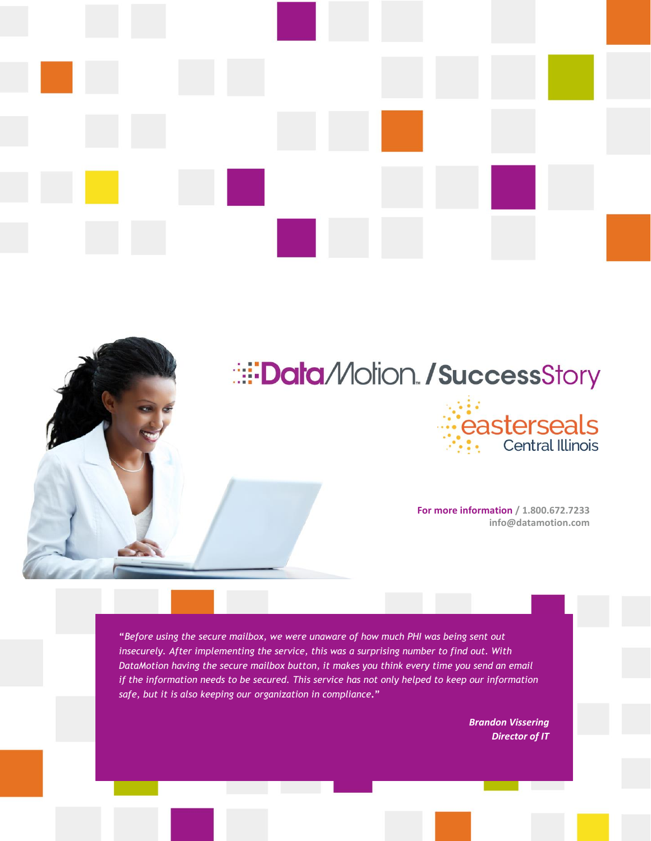

# **EData** Molion / SuccessStory



**For more information / 1.800.672.7233 info@datamotion.com**

**"***Before using the secure mailbox, we were unaware of how much PHI was being sent out insecurely. After implementing the service, this was a surprising number to find out. With DataMotion having the secure mailbox button, it makes you think every time you send an email if the information needs to be secured. This service has not only helped to keep our information safe, but it is also keeping our organization in compliance***."** 

> *Brandon Vissering Director of IT*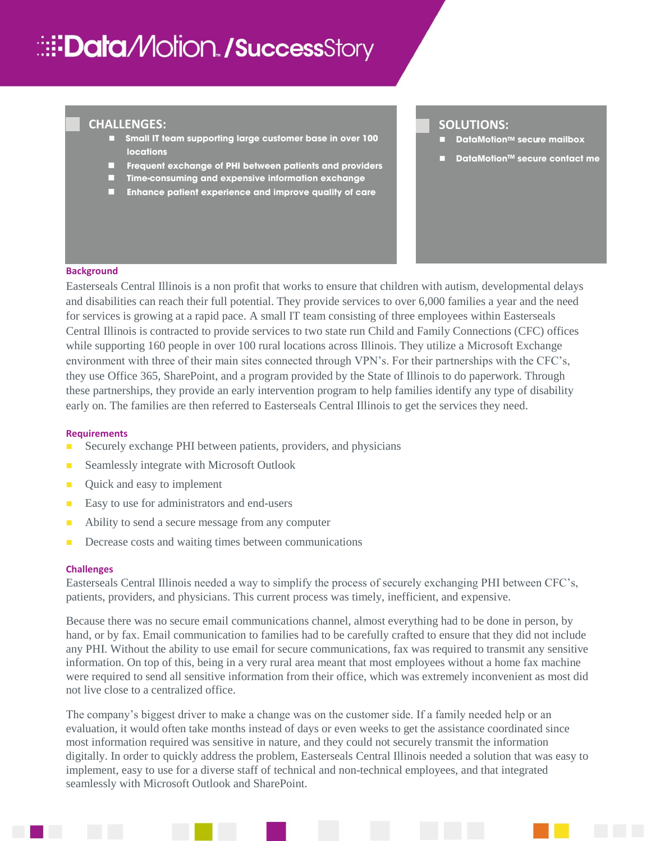# **Ei: Data/Vlotion / Success Story**

## **CHALLENGES:**

- ◼ **Small IT team supporting large customer base in over 100 locations**
- ◼ **Frequent exchange of PHI between patients and providers**
- ◼ **Time-consuming and expensive information exchange**
- ◼ **Enhance patient experience and improve quality of care**

# **SOLUTIONS:**

/

- ◼ **DataMotionTM secure mailbox**
- ◼ **DataMotionTM secure contact me**

#### **Background**

/

Easterseals Central Illinois is a non profit that works to ensure that children with autism, developmental delays and disabilities can reach their full potential. They provide services to over 6,000 families a year and the need for services is growing at a rapid pace. A small IT team consisting of three employees within Easterseals Central Illinois is contracted to provide services to two state run Child and Family Connections (CFC) offices while supporting 160 people in over 100 rural locations across Illinois. They utilize a Microsoft Exchange environment with three of their main sites connected through VPN's. For their partnerships with the CFC's, they use Office 365, SharePoint, and a program provided by the State of Illinois to do paperwork. Through these partnerships, they provide an early intervention program to help families identify any type of disability early on. The families are then referred to Easterseals Central Illinois to get the services they need.

#### **Requirements**

- Securely exchange PHI between patients, providers, and physicians
- Seamlessly integrate with Microsoft Outlook
- Quick and easy to implement
- Easy to use for administrators and end-users
- Ability to send a secure message from any computer
- Decrease costs and waiting times between communications

#### **Challenges**

Easterseals Central Illinois needed a way to simplify the process of securely exchanging PHI between CFC's, patients, providers, and physicians. This current process was timely, inefficient, and expensive.

Because there was no secure email communications channel, almost everything had to be done in person, by hand, or by fax. Email communication to families had to be carefully crafted to ensure that they did not include any PHI. Without the ability to use email for secure communications, fax was required to transmit any sensitive information. On top of this, being in a very rural area meant that most employees without a home fax machine were required to send all sensitive information from their office, which was extremely inconvenient as most did not live close to a centralized office.

The company's biggest driver to make a change was on the customer side. If a family needed help or an evaluation, it would often take months instead of days or even weeks to get the assistance coordinated since most information required was sensitive in nature, and they could not securely transmit the information digitally. In order to quickly address the problem, Easterseals Central Illinois needed a solution that was easy to implement, easy to use for a diverse staff of technical and non-technical employees, and that integrated seamlessly with Microsoft Outlook and SharePoint.

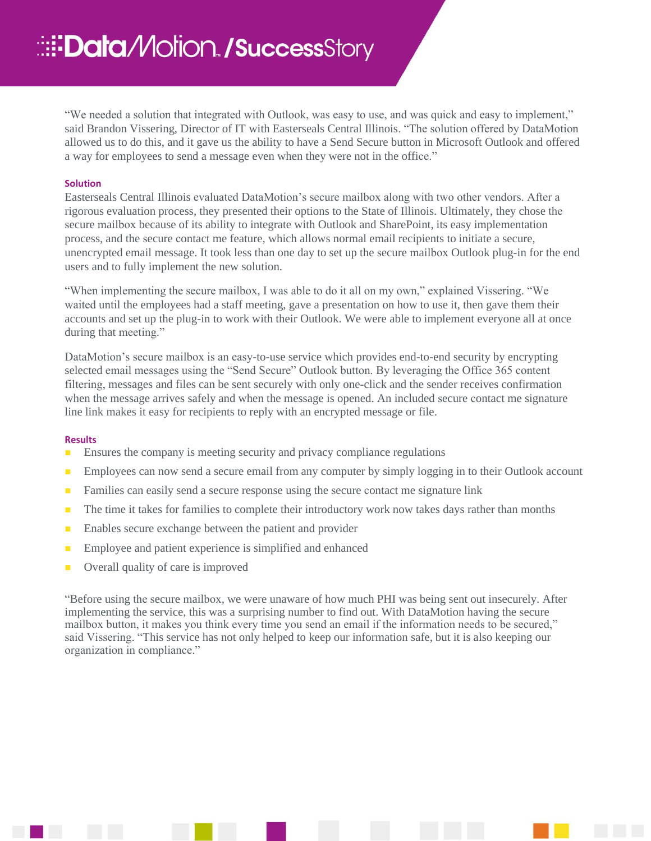"We needed a solution that integrated with Outlook, was easy to use, and was quick and easy to implement," said Brandon Vissering, Director of IT with Easterseals Central Illinois. "The solution offered by DataMotion allowed us to do this, and it gave us the ability to have a Send Secure button in Microsoft Outlook and offered a way for employees to send a message even when they were not in the office."

### **Solution**

Easterseals Central Illinois evaluated DataMotion's secure mailbox along with two other vendors. After a rigorous evaluation process, they presented their options to the State of Illinois. Ultimately, they chose the secure mailbox because of its ability to integrate with Outlook and SharePoint, its easy implementation process, and the secure contact me feature, which allows normal email recipients to initiate a secure, unencrypted email message. It took less than one day to set up the secure mailbox Outlook plug-in for the end users and to fully implement the new solution.

"When implementing the secure mailbox, I was able to do it all on my own," explained Vissering. "We waited until the employees had a staff meeting, gave a presentation on how to use it, then gave them their accounts and set up the plug-in to work with their Outlook. We were able to implement everyone all at once during that meeting."

DataMotion's secure mailbox is an easy-to-use service which provides end-to-end security by encrypting selected email messages using the "Send Secure" Outlook button. By leveraging the Office 365 content filtering, messages and files can be sent securely with only one-click and the sender receives confirmation when the message arrives safely and when the message is opened. An included secure contact me signature line link makes it easy for recipients to reply with an encrypted message or file.

#### **Results**

- Ensures the company is meeting security and privacy compliance regulations
- **■** Employees can now send a secure email from any computer by simply logging in to their Outlook account
- **EXECUTE:** Families can easily send a secure response using the secure contact me signature link
- The time it takes for families to complete their introductory work now takes days rather than months
- Enables secure exchange between the patient and provider
- Employee and patient experience is simplified and enhanced
- Overall quality of care is improved

"Before using the secure mailbox, we were unaware of how much PHI was being sent out insecurely. After implementing the service, this was a surprising number to find out. With DataMotion having the secure mailbox button, it makes you think every time you send an email if the information needs to be secured," said Vissering. "This service has not only helped to keep our information safe, but it is also keeping our organization in compliance."